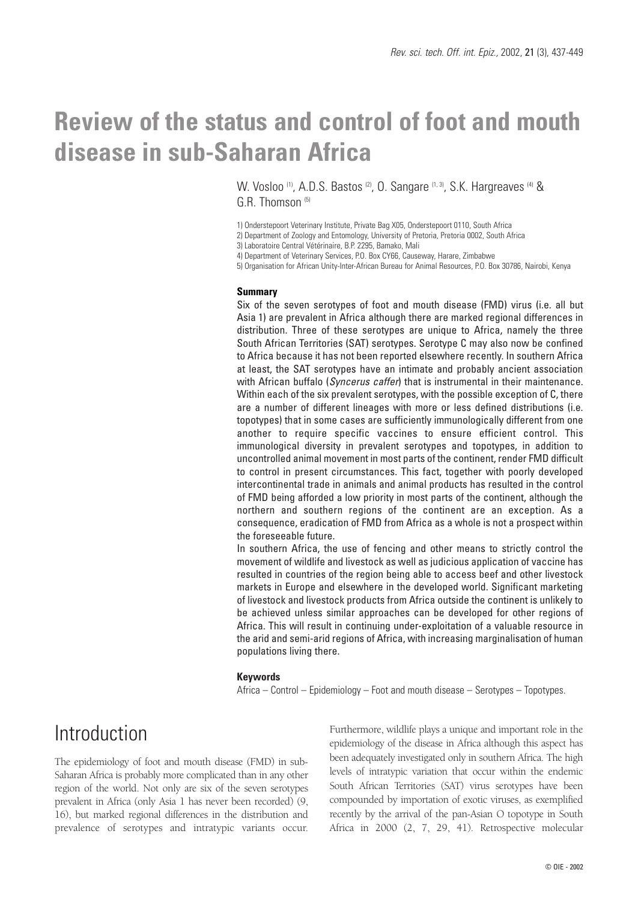# **Review of the status and control of foot and mouth disease in sub-Saharan Africa**

W. Vosloo <sup>(1)</sup>, A.D.S. Bastos <sup>(2)</sup>, O. Sangare <sup>(1, 3)</sup>, S.K. Hargreaves <sup>(4)</sup> & G.R. Thomson<sup>(5)</sup>

1) Onderstepoort Veterinary Institute, Private Bag X05, Onderstepoort 0110, South Africa

2) Department of Zoology and Entomology, University of Pretoria, Pretoria 0002, South Africa

3) Laboratoire Central Vétérinaire, B.P. 2295, Bamako, Mali

4) Department of Veterinary Services, P.O. Box CY66, Causeway, Harare, Zimbabwe

5) Organisation for African Unity-Inter-African Bureau for Animal Resources, P.O. Box 30786, Nairobi, Kenya

#### **Summary**

Six of the seven serotypes of foot and mouth disease (FMD) virus (i.e. all but Asia 1) are prevalent in Africa although there are marked regional differences in distribution. Three of these serotypes are unique to Africa, namely the three South African Territories (SAT) serotypes. Serotype C may also now be confined to Africa because it has not been reported elsewhere recently. In southern Africa at least, the SAT serotypes have an intimate and probably ancient association with African buffalo (*Syncerus caffer*) that is instrumental in their maintenance. Within each of the six prevalent serotypes, with the possible exception of C, there are a number of different lineages with more or less defined distributions (i.e. topotypes) that in some cases are sufficiently immunologically different from one another to require specific vaccines to ensure efficient control. This immunological diversity in prevalent serotypes and topotypes, in addition to uncontrolled animal movement in most parts of the continent, render FMD difficult to control in present circumstances. This fact, together with poorly developed intercontinental trade in animals and animal products has resulted in the control of FMD being afforded a low priority in most parts of the continent, although the northern and southern regions of the continent are an exception. As a consequence, eradication of FMD from Africa as a whole is not a prospect within the foreseeable future.

In southern Africa, the use of fencing and other means to strictly control the movement of wildlife and livestock as well as judicious application of vaccine has resulted in countries of the region being able to access beef and other livestock markets in Europe and elsewhere in the developed world. Significant marketing of livestock and livestock products from Africa outside the continent is unlikely to be achieved unless similar approaches can be developed for other regions of Africa. This will result in continuing under-exploitation of a valuable resource in the arid and semi-arid regions of Africa, with increasing marginalisation of human populations living there.

#### **Keywords**

Africa – Control – Epidemiology – Foot and mouth disease – Serotypes – Topotypes.

## Introduction

The epidemiology of foot and mouth disease (FMD) in sub-Saharan Africa is probably more complicated than in any other region of the world. Not only are six of the seven serotypes prevalent in Africa (only Asia 1 has never been recorded) (9, 16), but marked regional differences in the distribution and prevalence of serotypes and intratypic variants occur. Furthermore, wildlife plays a unique and important role in the epidemiology of the disease in Africa although this aspect has been adequately investigated only in southern Africa. The high levels of intratypic variation that occur within the endemic South African Territories (SAT) virus serotypes have been compounded by importation of exotic viruses, as exemplified recently by the arrival of the pan-Asian O topotype in South Africa in 2000 (2, 7, 29, 41). Retrospective molecular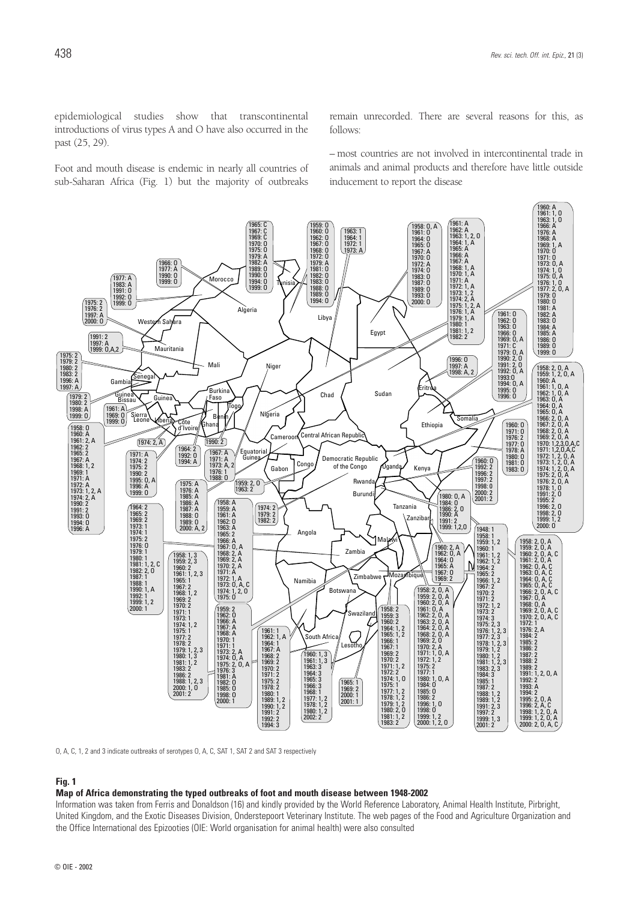epidemiological studies show that transcontinental introductions of virus types A and O have also occurred in the past (25, 29).

Foot and mouth disease is endemic in nearly all countries of sub-Saharan Africa (Fig. 1) but the majority of outbreaks

remain unrecorded. There are several reasons for this, as follows:

– most countries are not involved in intercontinental trade in animals and animal products and therefore have little outside inducement to report the disease



O, A, C, 1, 2 and 3 indicate outbreaks of serotypes O, A, C, SAT 1, SAT 2 and SAT 3 respectively

#### **Fig. 1**

#### **Map of Africa demonstrating the typed outbreaks of foot and mouth disease between 1948-2002**

Information was taken from Ferris and Donaldson (16) and kindly provided by the World Reference Laboratory, Animal Health Institute, Pirbright, United Kingdom, and the Exotic Diseases Division, Onderstepoort Veterinary Institute. The web pages of the Food and Agriculture Organization and the Office International des Epizooties (OIE: World organisation for animal health) were also consulted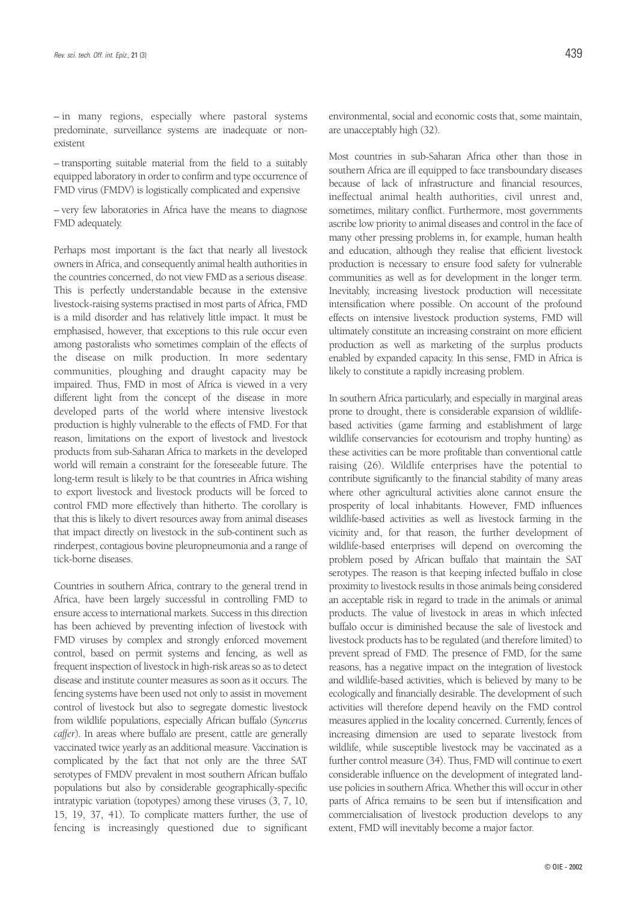– in many regions, especially where pastoral systems predominate, surveillance systems are inadequate or nonexistent

– transporting suitable material from the field to a suitably equipped laboratory in order to confirm and type occurrence of FMD virus (FMDV) is logistically complicated and expensive

– very few laboratories in Africa have the means to diagnose FMD adequately.

Perhaps most important is the fact that nearly all livestock owners in Africa, and consequently animal health authorities in the countries concerned, do not view FMD as a serious disease. This is perfectly understandable because in the extensive livestock-raising systems practised in most parts of Africa, FMD is a mild disorder and has relatively little impact. It must be emphasised, however, that exceptions to this rule occur even among pastoralists who sometimes complain of the effects of the disease on milk production. In more sedentary communities, ploughing and draught capacity may be impaired. Thus, FMD in most of Africa is viewed in a very different light from the concept of the disease in more developed parts of the world where intensive livestock production is highly vulnerable to the effects of FMD. For that reason, limitations on the export of livestock and livestock products from sub-Saharan Africa to markets in the developed world will remain a constraint for the foreseeable future. The long-term result is likely to be that countries in Africa wishing to export livestock and livestock products will be forced to control FMD more effectively than hitherto. The corollary is that this is likely to divert resources away from animal diseases that impact directly on livestock in the sub-continent such as rinderpest, contagious bovine pleuropneumonia and a range of tick-borne diseases.

Countries in southern Africa, contrary to the general trend in Africa, have been largely successful in controlling FMD to ensure access to international markets. Success in this direction has been achieved by preventing infection of livestock with FMD viruses by complex and strongly enforced movement control, based on permit systems and fencing, as well as frequent inspection of livestock in high-risk areas so as to detect disease and institute counter measures as soon as it occurs. The fencing systems have been used not only to assist in movement control of livestock but also to segregate domestic livestock from wildlife populations, especially African buffalo (*Syncerus caffer*). In areas where buffalo are present, cattle are generally vaccinated twice yearly as an additional measure. Vaccination is complicated by the fact that not only are the three SAT serotypes of FMDV prevalent in most southern African buffalo populations but also by considerable geographically-specific intratypic variation (topotypes) among these viruses (3, 7, 10, 15, 19, 37, 41). To complicate matters further, the use of fencing is increasingly questioned due to significant

environmental, social and economic costs that, some maintain, are unacceptably high (32).

Most countries in sub-Saharan Africa other than those in southern Africa are ill equipped to face transboundary diseases because of lack of infrastructure and financial resources, ineffectual animal health authorities, civil unrest and, sometimes, military conflict. Furthermore, most governments ascribe low priority to animal diseases and control in the face of many other pressing problems in, for example, human health and education, although they realise that efficient livestock production is necessary to ensure food safety for vulnerable communities as well as for development in the longer term. Inevitably, increasing livestock production will necessitate intensification where possible. On account of the profound effects on intensive livestock production systems, FMD will ultimately constitute an increasing constraint on more efficient production as well as marketing of the surplus products enabled by expanded capacity. In this sense, FMD in Africa is likely to constitute a rapidly increasing problem.

In southern Africa particularly, and especially in marginal areas prone to drought, there is considerable expansion of wildlifebased activities (game farming and establishment of large wildlife conservancies for ecotourism and trophy hunting) as these activities can be more profitable than conventional cattle raising (26). Wildlife enterprises have the potential to contribute significantly to the financial stability of many areas where other agricultural activities alone cannot ensure the prosperity of local inhabitants. However, FMD influences wildlife-based activities as well as livestock farming in the vicinity and, for that reason, the further development of wildlife-based enterprises will depend on overcoming the problem posed by African buffalo that maintain the SAT serotypes. The reason is that keeping infected buffalo in close proximity to livestock results in those animals being considered an acceptable risk in regard to trade in the animals or animal products. The value of livestock in areas in which infected buffalo occur is diminished because the sale of livestock and livestock products has to be regulated (and therefore limited) to prevent spread of FMD. The presence of FMD, for the same reasons, has a negative impact on the integration of livestock and wildlife-based activities, which is believed by many to be ecologically and financially desirable. The development of such activities will therefore depend heavily on the FMD control measures applied in the locality concerned. Currently, fences of increasing dimension are used to separate livestock from wildlife, while susceptible livestock may be vaccinated as a further control measure (34). Thus, FMD will continue to exert considerable influence on the development of integrated landuse policies in southern Africa. Whether this will occur in other parts of Africa remains to be seen but if intensification and commercialisation of livestock production develops to any extent, FMD will inevitably become a major factor.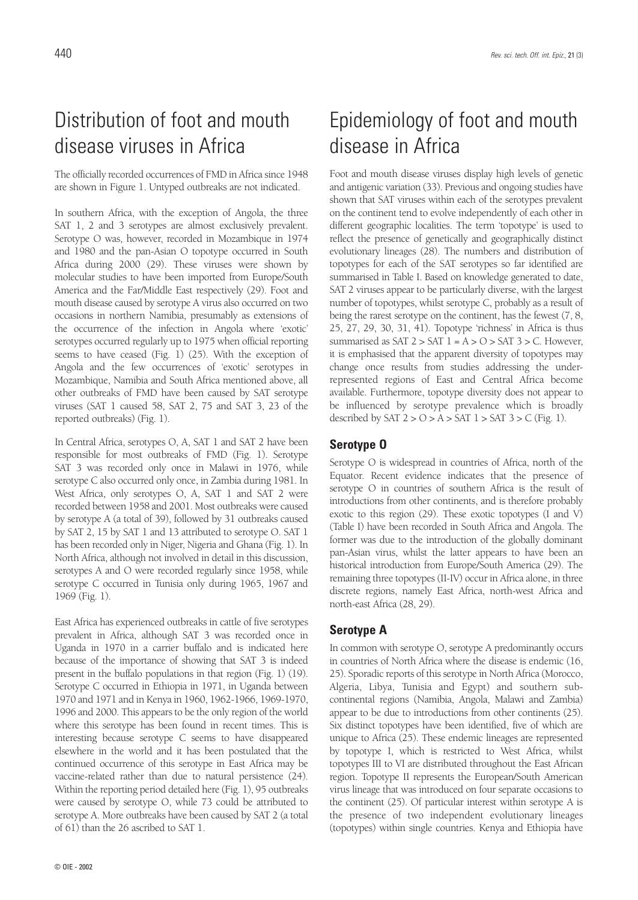## Distribution of foot and mouth disease viruses in Africa

The officially recorded occurrences of FMD in Africa since 1948 are shown in Figure 1. Untyped outbreaks are not indicated.

In southern Africa, with the exception of Angola, the three SAT 1, 2 and 3 serotypes are almost exclusively prevalent. Serotype O was, however, recorded in Mozambique in 1974 and 1980 and the pan-Asian O topotype occurred in South Africa during 2000 (29). These viruses were shown by molecular studies to have been imported from Europe/South America and the Far/Middle East respectively (29). Foot and mouth disease caused by serotype A virus also occurred on two occasions in northern Namibia, presumably as extensions of the occurrence of the infection in Angola where 'exotic' serotypes occurred regularly up to 1975 when official reporting seems to have ceased (Fig. 1) (25). With the exception of Angola and the few occurrences of 'exotic' serotypes in Mozambique, Namibia and South Africa mentioned above, all other outbreaks of FMD have been caused by SAT serotype viruses (SAT 1 caused 58, SAT 2, 75 and SAT 3, 23 of the reported outbreaks) (Fig. 1).

In Central Africa, serotypes O, A, SAT 1 and SAT 2 have been responsible for most outbreaks of FMD (Fig. 1). Serotype SAT 3 was recorded only once in Malawi in 1976, while serotype C also occurred only once, in Zambia during 1981. In West Africa, only serotypes O, A, SAT 1 and SAT 2 were recorded between 1958 and 2001. Most outbreaks were caused by serotype A (a total of 39), followed by 31 outbreaks caused by SAT 2, 15 by SAT 1 and 13 attributed to serotype O. SAT 1 has been recorded only in Niger, Nigeria and Ghana (Fig. 1). In North Africa, although not involved in detail in this discussion, serotypes A and O were recorded regularly since 1958, while serotype C occurred in Tunisia only during 1965, 1967 and 1969 (Fig. 1).

East Africa has experienced outbreaks in cattle of five serotypes prevalent in Africa, although SAT 3 was recorded once in Uganda in 1970 in a carrier buffalo and is indicated here because of the importance of showing that SAT 3 is indeed present in the buffalo populations in that region (Fig. 1) (19). Serotype C occurred in Ethiopia in 1971, in Uganda between 1970 and 1971 and in Kenya in 1960, 1962-1966, 1969-1970, 1996 and 2000. This appears to be the only region of the world where this serotype has been found in recent times. This is interesting because serotype C seems to have disappeared elsewhere in the world and it has been postulated that the continued occurrence of this serotype in East Africa may be vaccine-related rather than due to natural persistence (24). Within the reporting period detailed here (Fig. 1), 95 outbreaks were caused by serotype O, while 73 could be attributed to serotype A. More outbreaks have been caused by SAT 2 (a total of 61) than the 26 ascribed to SAT 1.

# Epidemiology of foot and mouth disease in Africa

Foot and mouth disease viruses display high levels of genetic and antigenic variation (33). Previous and ongoing studies have shown that SAT viruses within each of the serotypes prevalent on the continent tend to evolve independently of each other in different geographic localities. The term 'topotype' is used to reflect the presence of genetically and geographically distinct evolutionary lineages (28). The numbers and distribution of topotypes for each of the SAT serotypes so far identified are summarised in Table I. Based on knowledge generated to date, SAT 2 viruses appear to be particularly diverse, with the largest number of topotypes, whilst serotype C, probably as a result of being the rarest serotype on the continent, has the fewest (7, 8, 25, 27, 29, 30, 31, 41). Topotype 'richness' in Africa is thus summarised as SAT  $2 > SAT$   $1 = A > O > SAT$   $3 > C$ . However, it is emphasised that the apparent diversity of topotypes may change once results from studies addressing the underrepresented regions of East and Central Africa become available. Furthermore, topotype diversity does not appear to be influenced by serotype prevalence which is broadly described by SAT  $2 > 0 > A >$  SAT  $1 >$  SAT  $3 > C$  (Fig. 1).

### **Serotype O**

Serotype O is widespread in countries of Africa, north of the Equator. Recent evidence indicates that the presence of serotype O in countries of southern Africa is the result of introductions from other continents, and is therefore probably exotic to this region (29). These exotic topotypes (I and V) (Table I) have been recorded in South Africa and Angola. The former was due to the introduction of the globally dominant pan-Asian virus, whilst the latter appears to have been an historical introduction from Europe/South America (29). The remaining three topotypes (II-IV) occur in Africa alone, in three discrete regions, namely East Africa, north-west Africa and north-east Africa (28, 29).

### **Serotype A**

In common with serotype O, serotype A predominantly occurs in countries of North Africa where the disease is endemic (16, 25). Sporadic reports of this serotype in North Africa (Morocco, Algeria, Libya, Tunisia and Egypt) and southern subcontinental regions (Namibia, Angola, Malawi and Zambia) appear to be due to introductions from other continents (25). Six distinct topotypes have been identified, five of which are unique to Africa (25). These endemic lineages are represented by topotype I, which is restricted to West Africa, whilst topotypes III to VI are distributed throughout the East African region. Topotype II represents the European/South American virus lineage that was introduced on four separate occasions to the continent (25). Of particular interest within serotype A is the presence of two independent evolutionary lineages (topotypes) within single countries. Kenya and Ethiopia have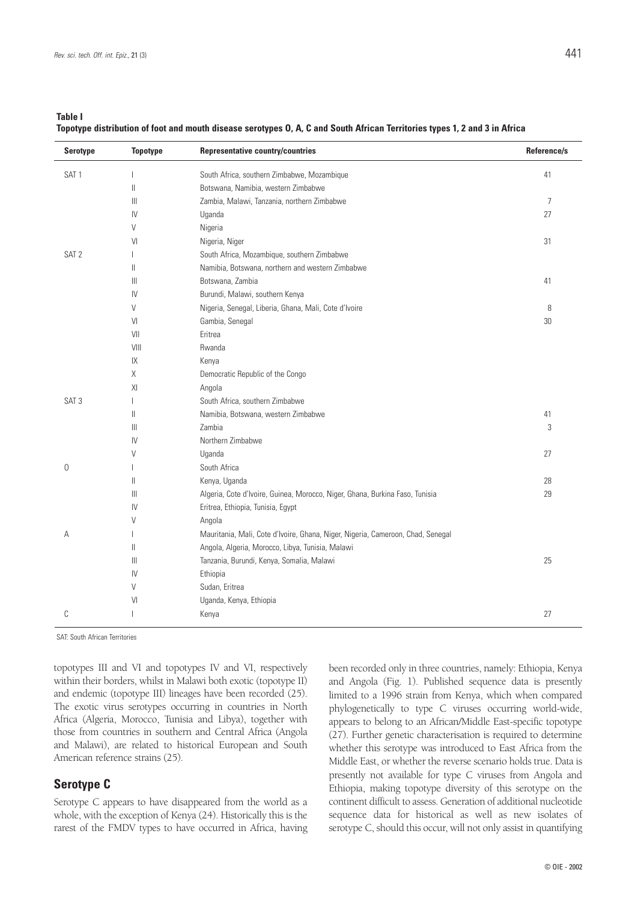**Table I**

**Topotype distribution of foot and mouth disease serotypes O, A, C and South African Territories types 1, 2 and 3 in Africa**

| <b>Serotype</b>  | <b>Topotype</b> | <b>Representative country/countries</b>                                         | Reference/s    |
|------------------|-----------------|---------------------------------------------------------------------------------|----------------|
| SAT <sub>1</sub> |                 | South Africa, southern Zimbabwe, Mozambique                                     | 41             |
|                  | $\parallel$     | Botswana, Namibia, western Zimbabwe                                             |                |
|                  | $\  \ $         | Zambia, Malawi, Tanzania, northern Zimbabwe                                     | $\overline{7}$ |
|                  | IV              | Uganda                                                                          | 27             |
|                  | V               | Nigeria                                                                         |                |
|                  | VI              | Nigeria, Niger                                                                  | 31             |
| SAT <sub>2</sub> |                 | South Africa, Mozambique, southern Zimbabwe                                     |                |
|                  | Ш               | Namibia, Botswana, northern and western Zimbabwe                                |                |
|                  | Ш               | Botswana, Zambia                                                                | 41             |
|                  | IV              | Burundi, Malawi, southern Kenya                                                 |                |
|                  | V               | Nigeria, Senegal, Liberia, Ghana, Mali, Cote d'Ivoire                           | 8              |
|                  | VI              | Gambia, Senegal                                                                 | 30             |
|                  | VII             | Eritrea                                                                         |                |
|                  | VIII            | Rwanda                                                                          |                |
|                  | IX              | Kenya                                                                           |                |
|                  | Χ               | Democratic Republic of the Congo                                                |                |
|                  | XI              | Angola                                                                          |                |
| SAT <sub>3</sub> |                 | South Africa, southern Zimbabwe                                                 |                |
|                  | Ш               | Namibia, Botswana, western Zimbabwe                                             | 41             |
|                  | Ш               | Zambia                                                                          | 3              |
|                  | $\mathsf{IV}$   | Northern Zimbabwe                                                               |                |
|                  | V               | Uganda                                                                          | 27             |
| $\mathbf 0$      |                 | South Africa                                                                    |                |
|                  | Ш               | Kenya, Uganda                                                                   | 28             |
|                  | $\  \ $         | Algeria, Cote d'Ivoire, Guinea, Morocco, Niger, Ghana, Burkina Faso, Tunisia    | 29             |
|                  | IV              | Eritrea, Ethiopia, Tunisia, Egypt                                               |                |
|                  | V               | Angola                                                                          |                |
| Α                |                 | Mauritania, Mali, Cote d'Ivoire, Ghana, Niger, Nigeria, Cameroon, Chad, Senegal |                |
|                  | Ш               | Angola, Algeria, Morocco, Libya, Tunisia, Malawi                                |                |
|                  | Ш               | Tanzania, Burundi, Kenya, Somalia, Malawi                                       | 25             |
|                  | IV              | Ethiopia                                                                        |                |
|                  | V               | Sudan, Eritrea                                                                  |                |
|                  | VI              | Uganda, Kenya, Ethiopia                                                         |                |
| C                |                 | Kenya                                                                           | 27             |
|                  |                 |                                                                                 |                |

SAT: South African Territories

topotypes III and VI and topotypes IV and VI, respectively within their borders, whilst in Malawi both exotic (topotype II) and endemic (topotype III) lineages have been recorded (25). The exotic virus serotypes occurring in countries in North Africa (Algeria, Morocco, Tunisia and Libya), together with those from countries in southern and Central Africa (Angola and Malawi), are related to historical European and South American reference strains (25).

#### **Serotype C**

Serotype C appears to have disappeared from the world as a whole, with the exception of Kenya (24). Historically this is the rarest of the FMDV types to have occurred in Africa, having been recorded only in three countries, namely: Ethiopia, Kenya and Angola (Fig. 1). Published sequence data is presently limited to a 1996 strain from Kenya, which when compared phylogenetically to type C viruses occurring world-wide, appears to belong to an African/Middle East-specific topotype (27). Further genetic characterisation is required to determine whether this serotype was introduced to East Africa from the Middle East, or whether the reverse scenario holds true. Data is presently not available for type C viruses from Angola and Ethiopia, making topotype diversity of this serotype on the continent difficult to assess. Generation of additional nucleotide sequence data for historical as well as new isolates of serotype C, should this occur, will not only assist in quantifying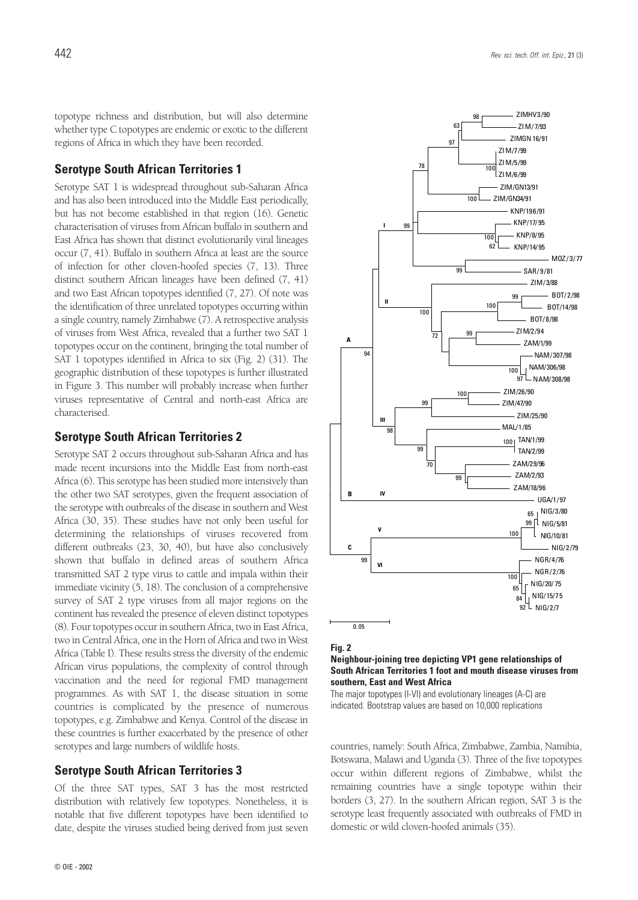topotype richness and distribution, but will also determine whether type C topotypes are endemic or exotic to the different regions of Africa in which they have been recorded.

### **Serotype South African Territories 1**

Serotype SAT 1 is widespread throughout sub-Saharan Africa and has also been introduced into the Middle East periodically, but has not become established in that region (16). Genetic characterisation of viruses from African buffalo in southern and East Africa has shown that distinct evolutionarily viral lineages occur (7, 41). Buffalo in southern Africa at least are the source of infection for other cloven-hoofed species (7, 13). Three distinct southern African lineages have been defined (7, 41) and two East African topotypes identified (7, 27). Of note was the identification of three unrelated topotypes occurring within a single country, namely Zimbabwe (7). A retrospective analysis of viruses from West Africa, revealed that a further two SAT 1 topotypes occur on the continent, bringing the total number of SAT 1 topotypes identified in Africa to six (Fig. 2) (31). The geographic distribution of these topotypes is further illustrated in Figure 3. This number will probably increase when further viruses representative of Central and north-east Africa are characterised.

### **Serotype South African Territories 2**

Serotype SAT 2 occurs throughout sub-Saharan Africa and has made recent incursions into the Middle East from north-east Africa (6). This serotype has been studied more intensively than the other two SAT serotypes, given the frequent association of the serotype with outbreaks of the disease in southern and West Africa (30, 35). These studies have not only been useful for determining the relationships of viruses recovered from different outbreaks (23, 30, 40), but have also conclusively shown that buffalo in defined areas of southern Africa transmitted SAT 2 type virus to cattle and impala within their immediate vicinity (5, 18). The conclusion of a comprehensive survey of SAT 2 type viruses from all major regions on the continent has revealed the presence of eleven distinct topotypes (8). Four topotypes occur in southern Africa, two in East Africa, two in Central Africa, one in the Horn of Africa and two in West Africa (Table I). These results stress the diversity of the endemic African virus populations, the complexity of control through vaccination and the need for regional FMD management programmes. As with SAT 1, the disease situation in some countries is complicated by the presence of numerous topotypes, e.g. Zimbabwe and Kenya. Control of the disease in these countries is further exacerbated by the presence of other serotypes and large numbers of wildlife hosts.

### **Serotype South African Territories 3**

Of the three SAT types, SAT 3 has the most restricted distribution with relatively few topotypes. Nonetheless, it is notable that five different topotypes have been identified to date, despite the viruses studied being derived from just seven



**Fig. 2**

#### **Neighbour-joining tree depicting VP1 gene relationships of South African Territories 1 foot and mouth disease viruses from southern, East and West Africa**

The major topotypes (I-VI) and evolutionary lineages (A-C) are indicated. Bootstrap values are based on 10,000 replications

countries, namely: South Africa, Zimbabwe, Zambia, Namibia, Botswana, Malawi and Uganda (3). Three of the five topotypes occur within different regions of Zimbabwe, whilst the remaining countries have a single topotype within their borders (3, 27). In the southern African region, SAT 3 is the serotype least frequently associated with outbreaks of FMD in domestic or wild cloven-hoofed animals (35).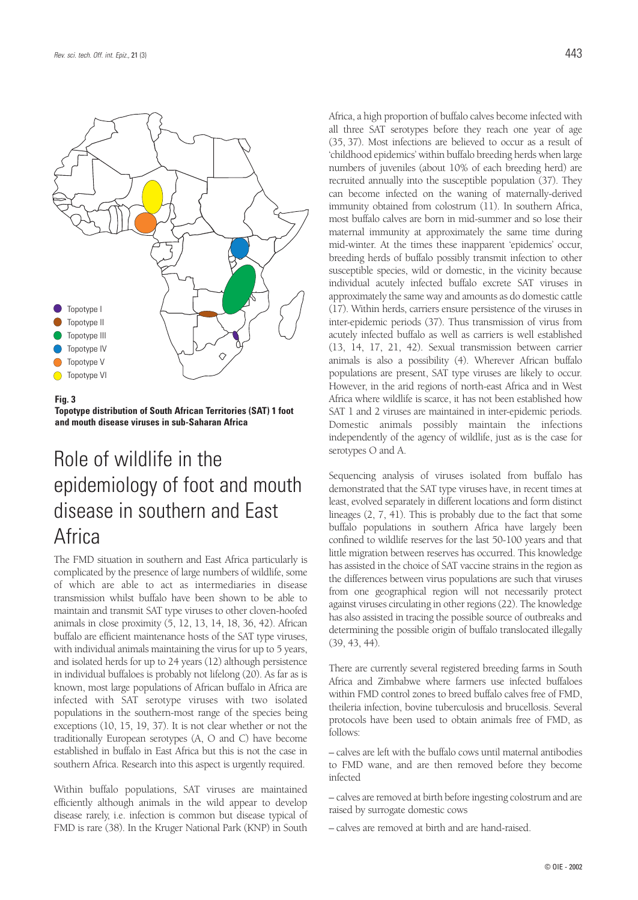

**Fig. 3**

**Topotype distribution of South African Territories (SAT) 1 foot and mouth disease viruses in sub-Saharan Africa**

# Role of wildlife in the epidemiology of foot and mouth disease in southern and East Africa

The FMD situation in southern and East Africa particularly is complicated by the presence of large numbers of wildlife, some of which are able to act as intermediaries in disease transmission whilst buffalo have been shown to be able to maintain and transmit SAT type viruses to other cloven-hoofed animals in close proximity (5, 12, 13, 14, 18, 36, 42). African buffalo are efficient maintenance hosts of the SAT type viruses, with individual animals maintaining the virus for up to 5 years, and isolated herds for up to 24 years (12) although persistence in individual buffaloes is probably not lifelong (20). As far as is known, most large populations of African buffalo in Africa are infected with SAT serotype viruses with two isolated populations in the southern-most range of the species being exceptions (10, 15, 19, 37). It is not clear whether or not the traditionally European serotypes (A, O and C) have become established in buffalo in East Africa but this is not the case in southern Africa. Research into this aspect is urgently required.

Within buffalo populations, SAT viruses are maintained efficiently although animals in the wild appear to develop disease rarely, i.e. infection is common but disease typical of FMD is rare (38). In the Kruger National Park (KNP) in South

Africa, a high proportion of buffalo calves become infected with all three SAT serotypes before they reach one year of age (35, 37). Most infections are believed to occur as a result of 'childhood epidemics' within buffalo breeding herds when large numbers of juveniles (about 10% of each breeding herd) are recruited annually into the susceptible population (37). They can become infected on the waning of maternally-derived immunity obtained from colostrum (11). In southern Africa, most buffalo calves are born in mid-summer and so lose their maternal immunity at approximately the same time during mid-winter. At the times these inapparent 'epidemics' occur, breeding herds of buffalo possibly transmit infection to other susceptible species, wild or domestic, in the vicinity because individual acutely infected buffalo excrete SAT viruses in approximately the same way and amounts as do domestic cattle (17). Within herds, carriers ensure persistence of the viruses in inter-epidemic periods (37). Thus transmission of virus from acutely infected buffalo as well as carriers is well established (13, 14, 17, 21, 42). Sexual transmission between carrier animals is also a possibility (4). Wherever African buffalo populations are present, SAT type viruses are likely to occur. However, in the arid regions of north-east Africa and in West Africa where wildlife is scarce, it has not been established how SAT 1 and 2 viruses are maintained in inter-epidemic periods. Domestic animals possibly maintain the infections independently of the agency of wildlife, just as is the case for serotypes O and A.

Sequencing analysis of viruses isolated from buffalo has demonstrated that the SAT type viruses have, in recent times at least, evolved separately in different locations and form distinct lineages (2, 7, 41). This is probably due to the fact that some buffalo populations in southern Africa have largely been confined to wildlife reserves for the last 50-100 years and that little migration between reserves has occurred. This knowledge has assisted in the choice of SAT vaccine strains in the region as the differences between virus populations are such that viruses from one geographical region will not necessarily protect against viruses circulating in other regions (22). The knowledge has also assisted in tracing the possible source of outbreaks and determining the possible origin of buffalo translocated illegally (39, 43, 44).

There are currently several registered breeding farms in South Africa and Zimbabwe where farmers use infected buffaloes within FMD control zones to breed buffalo calves free of FMD, theileria infection, bovine tuberculosis and brucellosis. Several protocols have been used to obtain animals free of FMD, as follows:

– calves are left with the buffalo cows until maternal antibodies to FMD wane, and are then removed before they become infected

– calves are removed at birth before ingesting colostrum and are raised by surrogate domestic cows

– calves are removed at birth and are hand-raised.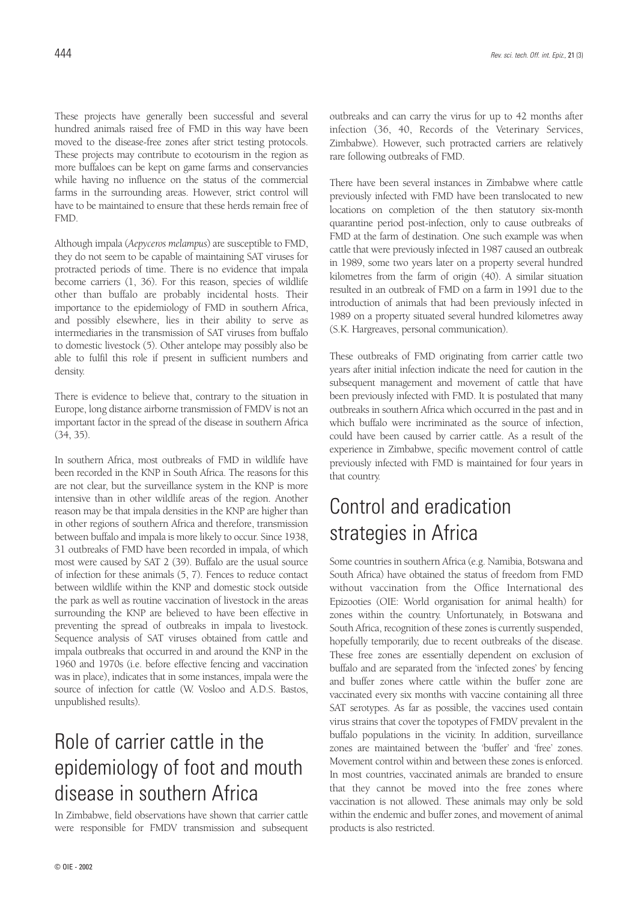These projects have generally been successful and several hundred animals raised free of FMD in this way have been moved to the disease-free zones after strict testing protocols. These projects may contribute to ecotourism in the region as more buffaloes can be kept on game farms and conservancies while having no influence on the status of the commercial farms in the surrounding areas. However, strict control will have to be maintained to ensure that these herds remain free of FMD.

Although impala (*Aepyceros melampus*) are susceptible to FMD, they do not seem to be capable of maintaining SAT viruses for protracted periods of time. There is no evidence that impala become carriers (1, 36). For this reason, species of wildlife other than buffalo are probably incidental hosts. Their importance to the epidemiology of FMD in southern Africa, and possibly elsewhere, lies in their ability to serve as intermediaries in the transmission of SAT viruses from buffalo to domestic livestock (5). Other antelope may possibly also be able to fulfil this role if present in sufficient numbers and density.

There is evidence to believe that, contrary to the situation in Europe, long distance airborne transmission of FMDV is not an important factor in the spread of the disease in southern Africa (34, 35).

In southern Africa, most outbreaks of FMD in wildlife have been recorded in the KNP in South Africa. The reasons for this are not clear, but the surveillance system in the KNP is more intensive than in other wildlife areas of the region. Another reason may be that impala densities in the KNP are higher than in other regions of southern Africa and therefore, transmission between buffalo and impala is more likely to occur. Since 1938, 31 outbreaks of FMD have been recorded in impala, of which most were caused by SAT 2 (39). Buffalo are the usual source of infection for these animals (5, 7). Fences to reduce contact between wildlife within the KNP and domestic stock outside the park as well as routine vaccination of livestock in the areas surrounding the KNP are believed to have been effective in preventing the spread of outbreaks in impala to livestock. Sequence analysis of SAT viruses obtained from cattle and impala outbreaks that occurred in and around the KNP in the 1960 and 1970s (i.e. before effective fencing and vaccination was in place), indicates that in some instances, impala were the source of infection for cattle (W. Vosloo and A.D.S. Bastos, unpublished results).

# Role of carrier cattle in the epidemiology of foot and mouth disease in southern Africa

In Zimbabwe, field observations have shown that carrier cattle were responsible for FMDV transmission and subsequent outbreaks and can carry the virus for up to 42 months after infection (36, 40, Records of the Veterinary Services, Zimbabwe). However, such protracted carriers are relatively rare following outbreaks of FMD.

There have been several instances in Zimbabwe where cattle previously infected with FMD have been translocated to new locations on completion of the then statutory six-month quarantine period post-infection, only to cause outbreaks of FMD at the farm of destination. One such example was when cattle that were previously infected in 1987 caused an outbreak in 1989, some two years later on a property several hundred kilometres from the farm of origin (40). A similar situation resulted in an outbreak of FMD on a farm in 1991 due to the introduction of animals that had been previously infected in 1989 on a property situated several hundred kilometres away (S.K. Hargreaves, personal communication).

These outbreaks of FMD originating from carrier cattle two years after initial infection indicate the need for caution in the subsequent management and movement of cattle that have been previously infected with FMD. It is postulated that many outbreaks in southern Africa which occurred in the past and in which buffalo were incriminated as the source of infection, could have been caused by carrier cattle. As a result of the experience in Zimbabwe, specific movement control of cattle previously infected with FMD is maintained for four years in that country.

# Control and eradication strategies in Africa

Some countries in southern Africa (e.g. Namibia, Botswana and South Africa) have obtained the status of freedom from FMD without vaccination from the Office International des Epizooties (OIE: World organisation for animal health) for zones within the country. Unfortunately, in Botswana and South Africa, recognition of these zones is currently suspended, hopefully temporarily, due to recent outbreaks of the disease. These free zones are essentially dependent on exclusion of buffalo and are separated from the 'infected zones' by fencing and buffer zones where cattle within the buffer zone are vaccinated every six months with vaccine containing all three SAT serotypes. As far as possible, the vaccines used contain virus strains that cover the topotypes of FMDV prevalent in the buffalo populations in the vicinity. In addition, surveillance zones are maintained between the 'buffer' and 'free' zones. Movement control within and between these zones is enforced. In most countries, vaccinated animals are branded to ensure that they cannot be moved into the free zones where vaccination is not allowed. These animals may only be sold within the endemic and buffer zones, and movement of animal products is also restricted.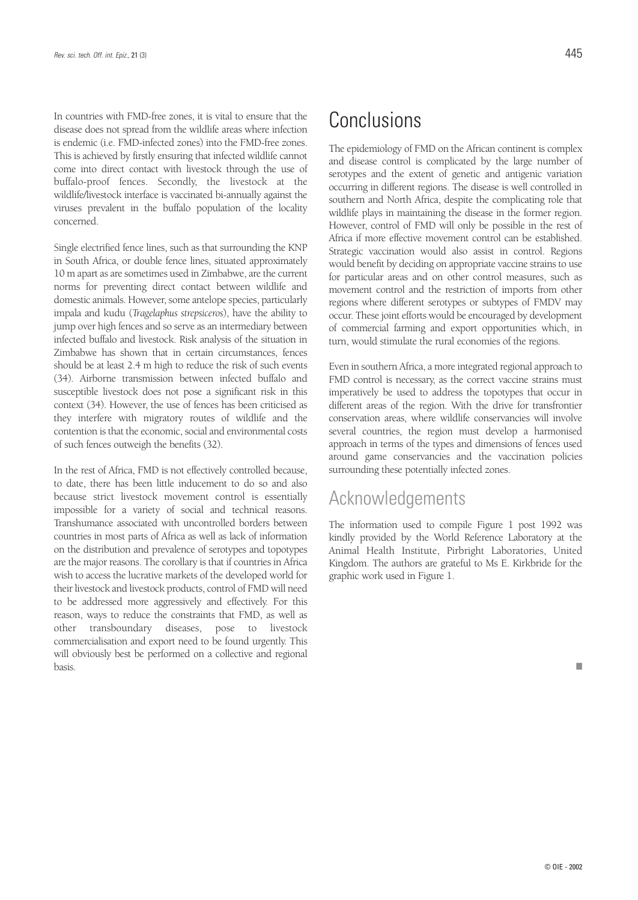In countries with FMD-free zones, it is vital to ensure that the disease does not spread from the wildlife areas where infection is endemic (i.e. FMD-infected zones) into the FMD-free zones. This is achieved by firstly ensuring that infected wildlife cannot come into direct contact with livestock through the use of buffalo-proof fences. Secondly, the livestock at the wildlife/livestock interface is vaccinated bi-annually against the viruses prevalent in the buffalo population of the locality concerned.

Single electrified fence lines, such as that surrounding the KNP in South Africa, or double fence lines, situated approximately 10 m apart as are sometimes used in Zimbabwe, are the current norms for preventing direct contact between wildlife and domestic animals. However, some antelope species, particularly impala and kudu (*Tragelaphus strepsiceros*), have the ability to jump over high fences and so serve as an intermediary between infected buffalo and livestock. Risk analysis of the situation in Zimbabwe has shown that in certain circumstances, fences should be at least 2.4 m high to reduce the risk of such events (34). Airborne transmission between infected buffalo and susceptible livestock does not pose a significant risk in this context (34). However, the use of fences has been criticised as they interfere with migratory routes of wildlife and the contention is that the economic, social and environmental costs of such fences outweigh the benefits (32).

In the rest of Africa, FMD is not effectively controlled because, to date, there has been little inducement to do so and also because strict livestock movement control is essentially impossible for a variety of social and technical reasons. Transhumance associated with uncontrolled borders between countries in most parts of Africa as well as lack of information on the distribution and prevalence of serotypes and topotypes are the major reasons. The corollary is that if countries in Africa wish to access the lucrative markets of the developed world for their livestock and livestock products, control of FMD will need to be addressed more aggressively and effectively. For this reason, ways to reduce the constraints that FMD, as well as other transboundary diseases, pose to livestock commercialisation and export need to be found urgently. This will obviously best be performed on a collective and regional basis.

## Conclusions

The epidemiology of FMD on the African continent is complex and disease control is complicated by the large number of serotypes and the extent of genetic and antigenic variation occurring in different regions. The disease is well controlled in southern and North Africa, despite the complicating role that wildlife plays in maintaining the disease in the former region. However, control of FMD will only be possible in the rest of Africa if more effective movement control can be established. Strategic vaccination would also assist in control. Regions would benefit by deciding on appropriate vaccine strains to use for particular areas and on other control measures, such as movement control and the restriction of imports from other regions where different serotypes or subtypes of FMDV may occur. These joint efforts would be encouraged by development of commercial farming and export opportunities which, in turn, would stimulate the rural economies of the regions.

Even in southern Africa, a more integrated regional approach to FMD control is necessary, as the correct vaccine strains must imperatively be used to address the topotypes that occur in different areas of the region. With the drive for transfrontier conservation areas, where wildlife conservancies will involve several countries, the region must develop a harmonised approach in terms of the types and dimensions of fences used around game conservancies and the vaccination policies surrounding these potentially infected zones.

### Acknowledgements

The information used to compile Figure 1 post 1992 was kindly provided by the World Reference Laboratory at the Animal Health Institute, Pirbright Laboratories, United Kingdom. The authors are grateful to Ms E. Kirkbride for the graphic work used in Figure 1.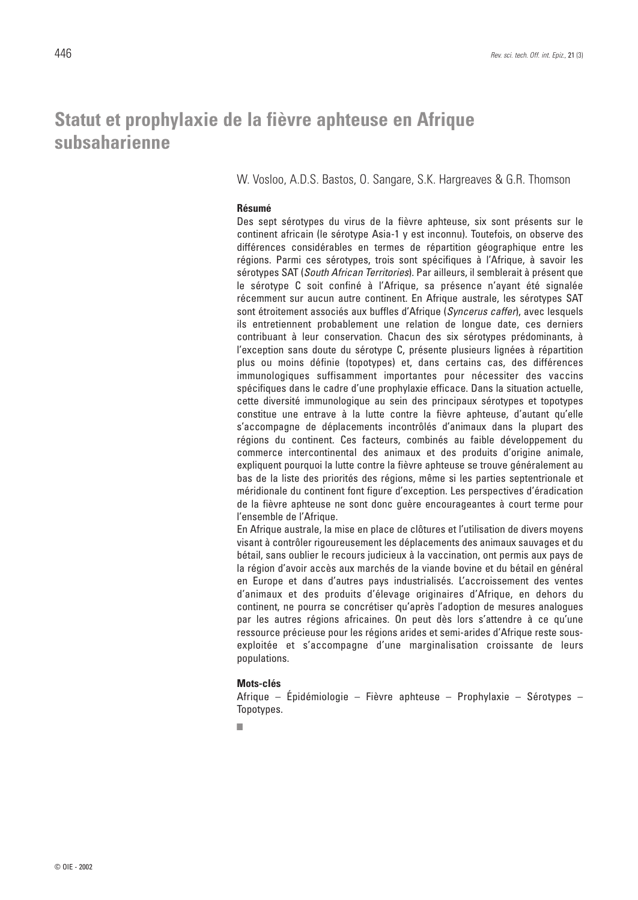## **Statut et prophylaxie de la fièvre aphteuse en Afrique subsaharienne**

W. Vosloo, A.D.S. Bastos, O. Sangare, S.K. Hargreaves & G.R. Thomson

#### **Résumé**

Des sept sérotypes du virus de la fièvre aphteuse, six sont présents sur le continent africain (le sérotype Asia-1 y est inconnu). Toutefois, on observe des différences considérables en termes de répartition géographique entre les régions. Parmi ces sérotypes, trois sont spécifiques à l'Afrique, à savoir les sérotypes SAT (*South African Territories*). Par ailleurs, il semblerait à présent que le sérotype C soit confiné à l'Afrique, sa présence n'ayant été signalée récemment sur aucun autre continent. En Afrique australe, les sérotypes SAT sont étroitement associés aux buffles d'Afrique (*Syncerus caffer*), avec lesquels ils entretiennent probablement une relation de longue date, ces derniers contribuant à leur conservation. Chacun des six sérotypes prédominants, à l'exception sans doute du sérotype C, présente plusieurs lignées à répartition plus ou moins définie (topotypes) et, dans certains cas, des différences immunologiques suffisamment importantes pour nécessiter des vaccins spécifiques dans le cadre d'une prophylaxie efficace. Dans la situation actuelle, cette diversité immunologique au sein des principaux sérotypes et topotypes constitue une entrave à la lutte contre la fièvre aphteuse, d'autant qu'elle s'accompagne de déplacements incontrôlés d'animaux dans la plupart des régions du continent. Ces facteurs, combinés au faible développement du commerce intercontinental des animaux et des produits d'origine animale, expliquent pourquoi la lutte contre la fièvre aphteuse se trouve généralement au bas de la liste des priorités des régions, même si les parties septentrionale et méridionale du continent font figure d'exception. Les perspectives d'éradication de la fièvre aphteuse ne sont donc guère encourageantes à court terme pour l'ensemble de l'Afrique.

En Afrique australe, la mise en place de clôtures et l'utilisation de divers moyens visant à contrôler rigoureusement les déplacements des animaux sauvages et du bétail, sans oublier le recours judicieux à la vaccination, ont permis aux pays de la région d'avoir accès aux marchés de la viande bovine et du bétail en général en Europe et dans d'autres pays industrialisés. L'accroissement des ventes d'animaux et des produits d'élevage originaires d'Afrique, en dehors du continent, ne pourra se concrétiser qu'après l'adoption de mesures analogues par les autres régions africaines. On peut dès lors s'attendre à ce qu'une ressource précieuse pour les régions arides et semi-arides d'Afrique reste sousexploitée et s'accompagne d'une marginalisation croissante de leurs populations.

#### **Mots-clés**

Afrique – Épidémiologie – Fièvre aphteuse – Prophylaxie – Sérotypes – Topotypes.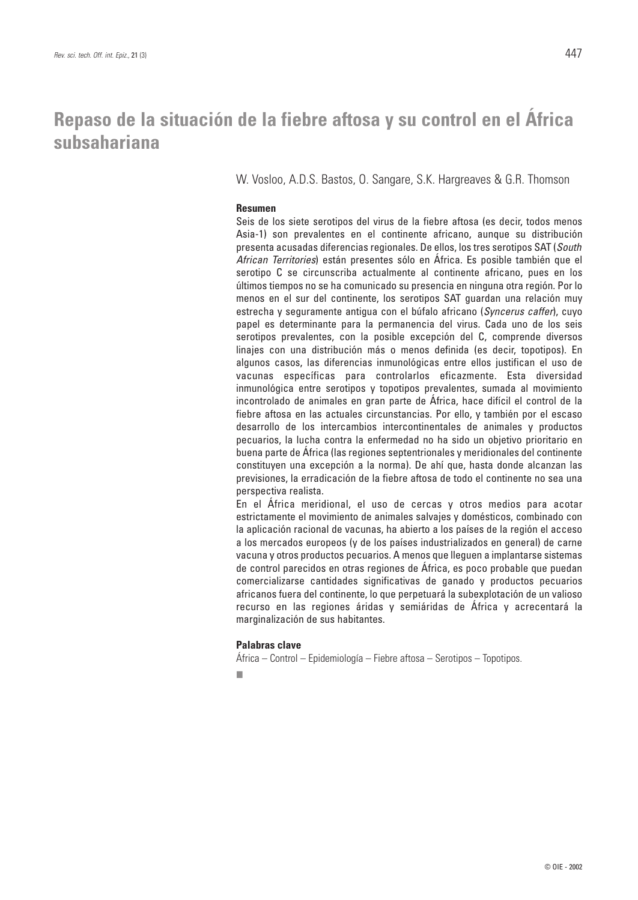## **Repaso de la situación de la fiebre aftosa y su control en el África subsahariana**

W. Vosloo, A.D.S. Bastos, O. Sangare, S.K. Hargreaves & G.R. Thomson

#### **Resumen**

Seis de los siete serotipos del virus de la fiebre aftosa (es decir, todos menos Asia-1) son prevalentes en el continente africano, aunque su distribución presenta acusadas diferencias regionales. De ellos, los tres serotipos SAT (*South African Territories*) están presentes sólo en África. Es posible también que el serotipo C se circunscriba actualmente al continente africano, pues en los últimos tiempos no se ha comunicado su presencia en ninguna otra región. Por lo menos en el sur del continente, los serotipos SAT guardan una relación muy estrecha y seguramente antigua con el búfalo africano (*Syncerus caffer*), cuyo papel es determinante para la permanencia del virus. Cada uno de los seis serotipos prevalentes, con la posible excepción del C, comprende diversos linajes con una distribución más o menos definida (es decir, topotipos). En algunos casos, las diferencias inmunológicas entre ellos justifican el uso de vacunas específicas para controlarlos eficazmente. Esta diversidad inmunológica entre serotipos y topotipos prevalentes, sumada al movimiento incontrolado de animales en gran parte de África, hace difícil el control de la fiebre aftosa en las actuales circunstancias. Por ello, y también por el escaso desarrollo de los intercambios intercontinentales de animales y productos pecuarios, la lucha contra la enfermedad no ha sido un objetivo prioritario en buena parte de África (las regiones septentrionales y meridionales del continente constituyen una excepción a la norma). De ahí que, hasta donde alcanzan las previsiones, la erradicación de la fiebre aftosa de todo el continente no sea una perspectiva realista.

En el África meridional, el uso de cercas y otros medios para acotar estrictamente el movimiento de animales salvajes y domésticos, combinado con la aplicación racional de vacunas, ha abierto a los países de la región el acceso a los mercados europeos (y de los países industrializados en general) de carne vacuna y otros productos pecuarios. A menos que lleguen a implantarse sistemas de control parecidos en otras regiones de África, es poco probable que puedan comercializarse cantidades significativas de ganado y productos pecuarios africanos fuera del continente, lo que perpetuará la subexplotación de un valioso recurso en las regiones áridas y semiáridas de África y acrecentará la marginalización de sus habitantes.

#### **Palabras clave**

África – Control – Epidemiología – Fiebre aftosa – Serotipos – Topotipos.

■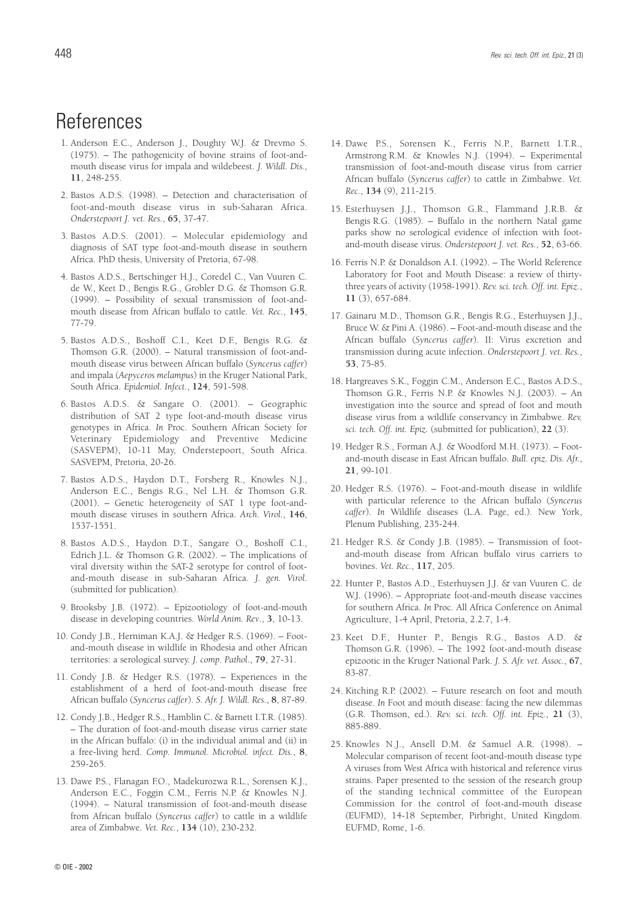## **References**

- 1. Anderson E.C., Anderson J., Doughty W.J. & Drevmo S. (1975). – The pathogenicity of bovine strains of foot-andmouth disease virus for impala and wildebeest. *J. Wildl. Dis.*, **11**, 248-255.
- 2. Bastos A.D.S. (1998). Detection and characterisation of foot-and-mouth disease virus in sub-Saharan Africa. *Onderstepoort J. vet. Res.*, **65**, 37-47.
- 3. Bastos A.D.S. (2001). Molecular epidemiology and diagnosis of SAT type foot-and-mouth disease in southern Africa. PhD thesis, University of Pretoria, 67-98.
- 4. Bastos A.D.S., Bertschinger H.J., Coredel C., Van Vuuren C. de W., Keet D., Bengis R.G., Grobler D.G. & Thomson G.R. (1999). – Possibility of sexual transmission of foot-andmouth disease from African buffalo to cattle. *Vet. Rec.*, **145**, 77-79.
- 5. Bastos A.D.S., Boshoff C.I., Keet D.F., Bengis R.G. & Thomson G.R. (2000). – Natural transmission of foot-andmouth disease virus between African buffalo (*Syncerus caffer*) and impala (*Aepyceros melampus*) in the Kruger National Park, South Africa. *Epidemiol. Infect.*, **124**, 591-598.
- 6. Bastos A.D.S. & Sangare O. (2001). Geographic distribution of SAT 2 type foot-and-mouth disease virus genotypes in Africa. *In* Proc. Southern African Society for Veterinary Epidemiology and Preventive Medicine (SASVEPM), 10-11 May, Onderstepoort, South Africa. SASVEPM, Pretoria, 20-26.
- 7. Bastos A.D.S., Haydon D.T., Forsberg R., Knowles N.J., Anderson E.C., Bengis R.G., Nel L.H. & Thomson G.R. (2001). – Genetic heterogeneity of SAT 1 type foot-andmouth disease viruses in southern Africa. *Arch. Virol.*, **146**, 1537-1551.
- 8. Bastos A.D.S., Haydon D.T., Sangare O., Boshoff C.I., Edrich J.L. & Thomson G.R. (2002). – The implications of viral diversity within the SAT-2 serotype for control of footand-mouth disease in sub-Saharan Africa. *J. gen. Virol.* (submitted for publication).
- 9. Brooksby J.B. (1972). Epizootiology of foot-and-mouth disease in developing countries. *World Anim. Rev*., **3**, 10-13.
- 10. Condy J.B., Herniman K.A.J. & Hedger R.S. (1969). Footand-mouth disease in wildlife in Rhodesia and other African territories: a serological survey. *J. comp. Pathol.*, **79**, 27-31.
- 11. Condy J.B. & Hedger R.S. (1978). Experiences in the establishment of a herd of foot-and-mouth disease free African buffalo (*Syncerus caffer*). *S. Afr. J. Wildl. Res.*, **8**, 87-89.
- 12. Condy J.B., Hedger R.S., Hamblin C. & Barnett I.T.R. (1985). – The duration of foot-and-mouth disease virus carrier state in the African buffalo: (i) in the individual animal and (ii) in a free-living herd. *Comp. Immunol. Microbiol. infect. Dis.*, **8**, 259-265.
- 13. Dawe P.S., Flanagan F.O., Madekurozwa R.L., Sorensen K.J., Anderson E.C., Foggin C.M., Ferris N.P. & Knowles N.J. (1994). – Natural transmission of foot-and-mouth disease from African buffalo (*Syncerus caffer*) to cattle in a wildlife area of Zimbabwe. *Vet. Rec.*, **134** (10), 230-232.
- 14. Dawe P.S., Sorensen K., Ferris N.P., Barnett I.T.R., Armstrong R.M. & Knowles N.J. (1994). – Experimental transmission of foot-and-mouth disease virus from carrier African buffalo (*Syncerus caffer*) to cattle in Zimbabwe. *Vet. Rec.*, **134** (9), 211-215.
- 15. Esterhuysen J.J., Thomson G.R., Flammand J.R.B. & Bengis R.G. (1985). – Buffalo in the northern Natal game parks show no serological evidence of infection with footand-mouth disease virus. *Onderstepoort J. vet. Res.*, **52**, 63-66.
- 16. Ferris N.P. & Donaldson A.I. (1992). The World Reference Laboratory for Foot and Mouth Disease: a review of thirtythree years of activity (1958-1991). *Rev. sci. tech. Off. int. Epiz.*, **11** (3), 657-684.
- 17. Gainaru M.D., Thomson G.R., Bengis R.G., Esterhuysen J.J., Bruce W. & Pini A. (1986). – Foot-and-mouth disease and the African buffalo (*Syncerus caffer*). II: Virus excretion and transmission during acute infection. *Onderstepoort J. vet. Res.*, **53**, 75-85.
- 18. Hargreaves S.K., Foggin C.M., Anderson E.C., Bastos A.D.S., Thomson G.R., Ferris N.P. & Knowles N.J. (2003). – An investigation into the source and spread of foot and mouth disease virus from a wildlife conservancy in Zimbabwe. *Rev. sci. tech. Off. int. Epiz.* (submitted for publication), **22** (3).
- 19. Hedger R.S., Forman A.J. & Woodford M.H. (1973). Footand-mouth disease in East African buffalo. *Bull. epiz. Dis. Afr.*, **21**, 99-101.
- 20. Hedger R.S. (1976). Foot-and-mouth disease in wildlife with particular reference to the African buffalo (*Syncerus caffer*). *In* Wildlife diseases (L.A. Page, ed.). New York, Plenum Publishing, 235-244.
- 21. Hedger R.S. & Condy J.B. (1985). Transmission of footand-mouth disease from African buffalo virus carriers to bovines. *Vet. Rec.*, **117**, 205.
- 22. Hunter P., Bastos A.D., Esterhuysen J.J. & van Vuuren C. de W.J. (1996). – Appropriate foot-and-mouth disease vaccines for southern Africa. *In* Proc. All Africa Conference on Animal Agriculture, 1-4 April, Pretoria, 2.2.7, 1-4.
- 23. Keet D.F., Hunter P., Bengis R.G., Bastos A.D. & Thomson G.R. (1996). – The 1992 foot-and-mouth disease epizootic in the Kruger National Park. *J. S. Afr. vet. Assoc.*, **67**, 83-87.
- 24. Kitching R.P. (2002). Future research on foot and mouth disease. *In* Foot and mouth disease: facing the new dilemmas (G.R. Thomson, ed.). *Rev. sci. tech. Off. int. Epiz.*, **21** (3), 885-889.
- 25. Knowles N.J., Ansell D.M. & Samuel A.R. (1998). Molecular comparison of recent foot-and-mouth disease type A viruses from West Africa with historical and reference virus strains. Paper presented to the session of the research group of the standing technical committee of the European Commission for the control of foot-and-mouth disease (EUFMD), 14-18 September, Pirbright, United Kingdom. EUFMD, Rome, 1-6.